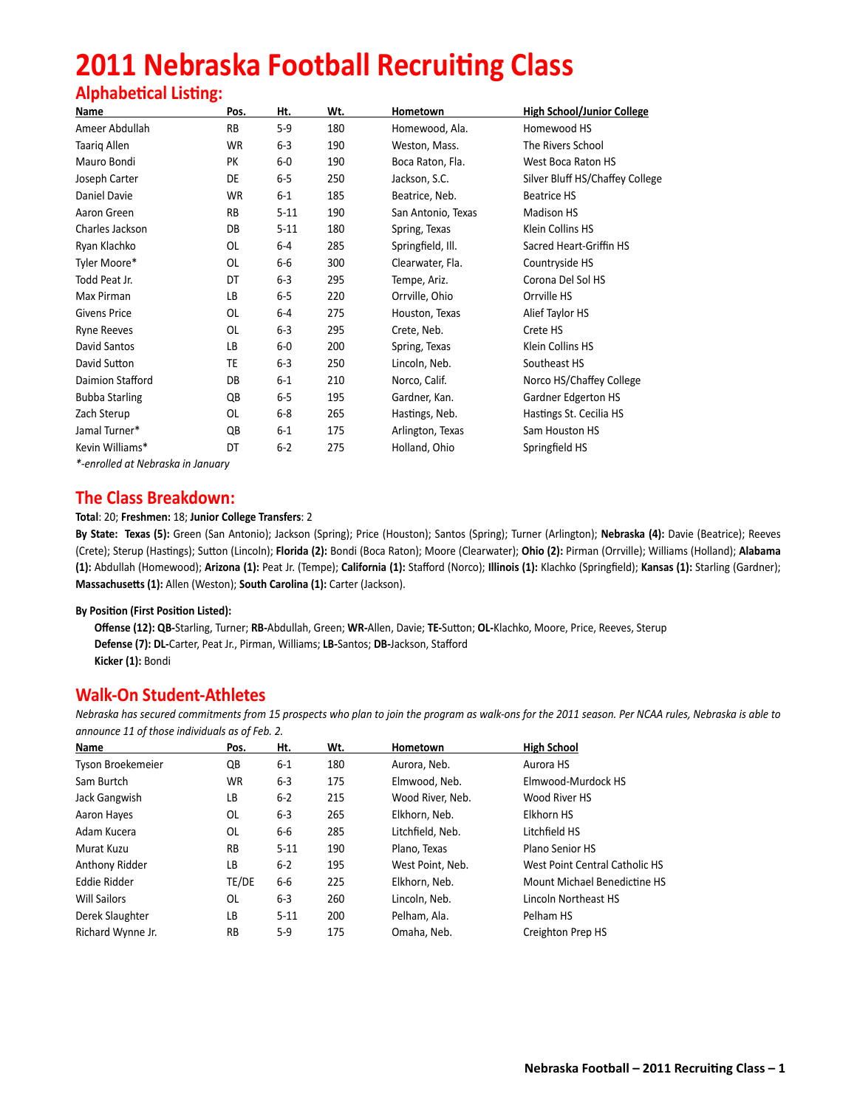# **2011 Nebraska Football Recruiting Class**

# **Alphabetical Listing:**

| Name                  | Pos. | Ht.      | Wt. | Hometown           | <b>High School/Junior College</b> |
|-----------------------|------|----------|-----|--------------------|-----------------------------------|
| Ameer Abdullah        | RB   | 5-9      | 180 | Homewood, Ala.     | Homewood HS                       |
| <b>Taarig Allen</b>   | WR   | $6 - 3$  | 190 | Weston, Mass.      | The Rivers School                 |
| Mauro Bondi           | PK   | $6-0$    | 190 | Boca Raton, Fla.   | West Boca Raton HS                |
| Joseph Carter         | DE   | $6-5$    | 250 | Jackson, S.C.      | Silver Bluff HS/Chaffey College   |
| Daniel Davie          | WR   | 6-1      | 185 | Beatrice, Neb.     | <b>Beatrice HS</b>                |
| Aaron Green           | RB   | $5 - 11$ | 190 | San Antonio, Texas | Madison HS                        |
| Charles Jackson       | DB   | $5 - 11$ | 180 | Spring, Texas      | Klein Collins HS                  |
| Ryan Klachko          | OL   | 6-4      | 285 | Springfield, Ill.  | Sacred Heart-Griffin HS           |
| Tyler Moore*          | 0L   | 6-6      | 300 | Clearwater, Fla.   | Countryside HS                    |
| Todd Peat Jr.         | DT   | $6-3$    | 295 | Tempe, Ariz.       | Corona Del Sol HS                 |
| Max Pirman            | LB   | $6-5$    | 220 | Orrville, Ohio     | Orrville HS                       |
| <b>Givens Price</b>   | OL   | 6-4      | 275 | Houston, Texas     | Alief Taylor HS                   |
| <b>Ryne Reeves</b>    | OL   | $6-3$    | 295 | Crete, Neb.        | Crete HS                          |
| David Santos          | LB   | 6-0      | 200 | Spring, Texas      | Klein Collins HS                  |
| David Sutton          | TE   | $6 - 3$  | 250 | Lincoln, Neb.      | Southeast HS                      |
| Daimion Stafford      | DB   | $6 - 1$  | 210 | Norco, Calif.      | Norco HS/Chaffey College          |
| <b>Bubba Starling</b> | QB   | $6-5$    | 195 | Gardner, Kan.      | Gardner Edgerton HS               |
| Zach Sterup           | OL   | $6-8$    | 265 | Hastings, Neb.     | Hastings St. Cecilia HS           |
| Jamal Turner*         | QB   | $6 - 1$  | 175 | Arlington, Texas   | Sam Houston HS                    |
| Kevin Williams*       | DT   | $6 - 2$  | 275 | Holland, Ohio      | Springfield HS                    |
|                       |      |          |     |                    |                                   |

*\*-enrolled at Nebraska in January*

# **The Class Breakdown:**

# **Total**: 20; **Freshmen:** 18; **Junior College Transfers**: 2

**By State: Texas (5):** Green (San Antonio); Jackson (Spring); Price (Houston); Santos (Spring); Turner (Arlington); **Nebraska (4):** Davie (Beatrice); Reeves (Crete); Sterup (Hastings); Sutton (Lincoln); **Florida (2):** Bondi (Boca Raton); Moore (Clearwater); **Ohio (2):** Pirman (Orrville); Williams (Holland); **Alabama (1):** Abdullah (Homewood); **Arizona (1):** Peat Jr. (Tempe); **California (1):** Stafford (Norco); **Illinois (1):** Klachko (Springfield); **Kansas (1):** Starling (Gardner); **Massachusetts (1):** Allen (Weston); **South Carolina (1):** Carter (Jackson).

## **By Position (First Position Listed):**

**Offense (12): QB-**Starling, Turner; **RB-**Abdullah, Green; **WR-**Allen, Davie; **TE-**Sutton; **OL-**Klachko, Moore, Price, Reeves, Sterup **Defense (7): DL-**Carter, Peat Jr., Pirman, Williams; **LB-**Santos; **DB-**Jackson, Stafford  **Kicker (1):** Bondi

# **Walk-On Student-Athletes**

*Nebraska has secured commitments from 15 prospects who plan to join the program as walk-ons for the 2011 season. Per NCAA rules, Nebraska is able to announce 11 of those individuals as of Feb. 2.* 

| Name                | Pos.      | Ht.      | Wt. | Hometown         | <b>High School</b>             |
|---------------------|-----------|----------|-----|------------------|--------------------------------|
| Tyson Broekemeier   | QB        | $6 - 1$  | 180 | Aurora, Neb.     | Aurora HS                      |
| Sam Burtch          | <b>WR</b> | $6-3$    | 175 | Elmwood, Neb.    | Elmwood-Murdock HS             |
| Jack Gangwish       | LВ        | $6 - 2$  | 215 | Wood River, Neb. | Wood River HS                  |
| Aaron Hayes         | 0L        | $6 - 3$  | 265 | Elkhorn, Neb.    | Elkhorn HS                     |
| Adam Kucera         | 0L        | 6-6      | 285 | Litchfield, Neb. | Litchfield HS                  |
| Murat Kuzu          | <b>RB</b> | $5 - 11$ | 190 | Plano, Texas     | Plano Senior HS                |
| Anthony Ridder      | LB        | $6 - 2$  | 195 | West Point. Neb. | West Point Central Catholic HS |
| Eddie Ridder        | TE/DE     | $6-6$    | 225 | Elkhorn, Neb.    | Mount Michael Benedictine HS   |
| <b>Will Sailors</b> | 0L        | $6 - 3$  | 260 | Lincoln. Neb.    | Lincoln Northeast HS           |
| Derek Slaughter     | LB        | $5 - 11$ | 200 | Pelham, Ala.     | Pelham HS                      |
| Richard Wynne Jr.   | <b>RB</b> | 5-9      | 175 | Omaha, Neb.      | Creighton Prep HS              |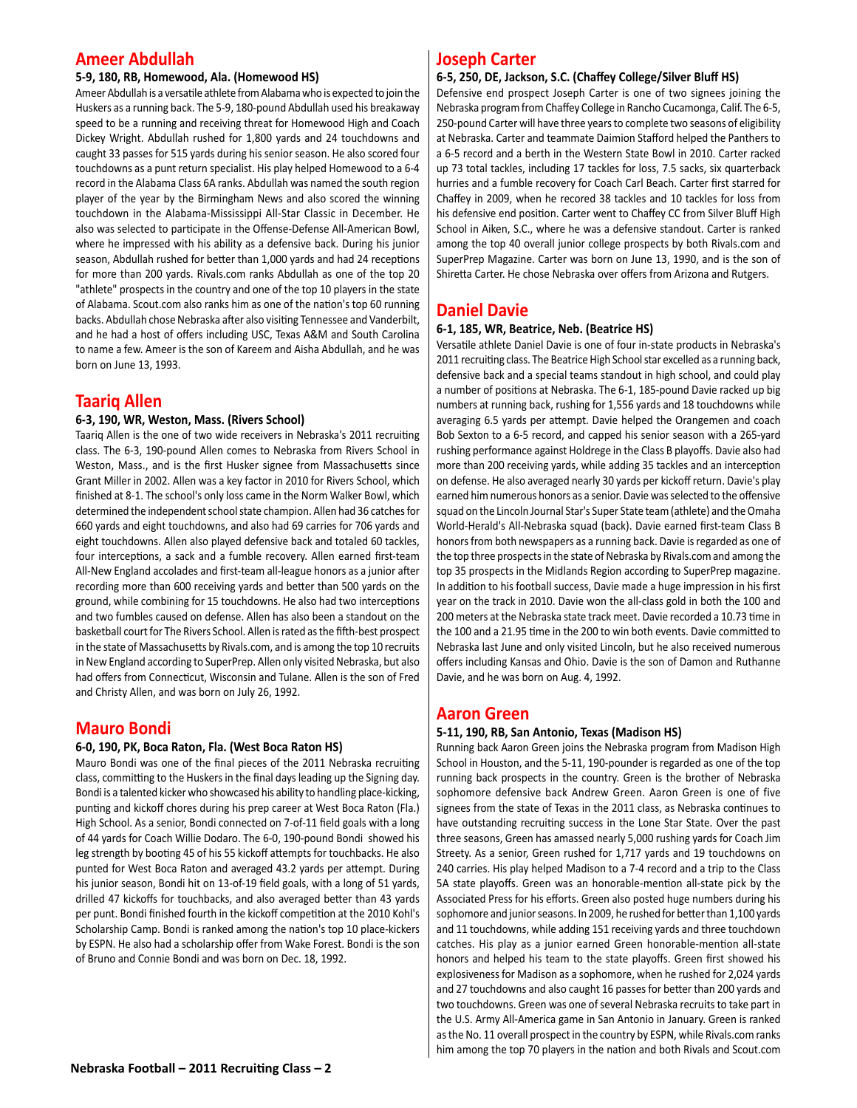# **Ameer Abdullah**

## **5-9, 180, RB, Homewood, Ala. (Homewood HS)**

Ameer Abdullah is a versatile athlete from Alabama who is expected to join the Huskers as a running back. The 5-9, 180-pound Abdullah used his breakaway speed to be a running and receiving threat for Homewood High and Coach Dickey Wright. Abdullah rushed for 1,800 yards and 24 touchdowns and caught 33 passes for 515 yards during his senior season. He also scored four touchdowns as a punt return specialist. His play helped Homewood to a 6-4 record in the Alabama Class 6A ranks. Abdullah was named the south region player of the year by the Birmingham News and also scored the winning touchdown in the Alabama-Mississippi All-Star Classic in December. He also was selected to participate in the Offense-Defense All-American Bowl, where he impressed with his ability as a defensive back. During his junior season, Abdullah rushed for better than 1,000 yards and had 24 receptions for more than 200 yards. Rivals.com ranks Abdullah as one of the top 20 "athlete" prospects in the country and one of the top 10 players in the state of Alabama. Scout.com also ranks him as one of the nation's top 60 running backs. Abdullah chose Nebraska after also visiting Tennessee and Vanderbilt, and he had a host of offers including USC, Texas A&M and South Carolina to name a few. Ameer is the son of Kareem and Aisha Abdullah, and he was born on June 13, 1993.

# **Taariq Allen**

## **6-3, 190, WR, Weston, Mass. (Rivers School)**

Taariq Allen is the one of two wide receivers in Nebraska's 2011 recruiting class. The 6-3, 190-pound Allen comes to Nebraska from Rivers School in Weston, Mass., and is the first Husker signee from Massachusetts since Grant Miller in 2002. Allen was a key factor in 2010 for Rivers School, which finished at 8-1. The school's only loss came in the Norm Walker Bowl, which determined the independent school state champion. Allen had 36 catches for 660 yards and eight touchdowns, and also had 69 carries for 706 yards and eight touchdowns. Allen also played defensive back and totaled 60 tackles, four interceptions, a sack and a fumble recovery. Allen earned first-team All-New England accolades and first-team all-league honors as a junior after recording more than 600 receiving yards and better than 500 yards on the ground, while combining for 15 touchdowns. He also had two interceptions and two fumbles caused on defense. Allen has also been a standout on the basketball court for The Rivers School. Allen is rated as the fifth-best prospect in the state of Massachusetts by Rivals.com, and is among the top 10 recruits in New England according to SuperPrep. Allen only visited Nebraska, but also had offers from Connecticut, Wisconsin and Tulane. Allen is the son of Fred and Christy Allen, and was born on July 26, 1992.

# **Mauro Bondi**

## **6-0, 190, PK, Boca Raton, Fla. (West Boca Raton HS)**

Mauro Bondi was one of the final pieces of the 2011 Nebraska recruiting class, committing to the Huskers in the final days leading up the Signing day. Bondi is a talented kicker who showcased his ability to handling place-kicking, punting and kickoff chores during his prep career at West Boca Raton (Fla.) High School. As a senior, Bondi connected on 7-of-11 field goals with a long of 44 yards for Coach Willie Dodaro. The 6-0, 190-pound Bondi showed his leg strength by booting 45 of his 55 kickoff attempts for touchbacks. He also punted for West Boca Raton and averaged 43.2 yards per attempt. During his junior season, Bondi hit on 13-of-19 field goals, with a long of 51 yards, drilled 47 kickoffs for touchbacks, and also averaged better than 43 yards per punt. Bondi finished fourth in the kickoff competition at the 2010 Kohl's Scholarship Camp. Bondi is ranked among the nation's top 10 place-kickers by ESPN. He also had a scholarship offer from Wake Forest. Bondi is the son of Bruno and Connie Bondi and was born on Dec. 18, 1992.

# **Joseph Carter**

#### **6-5, 250, DE, Jackson, S.C. (Chaffey College/Silver Bluff HS)**

Defensive end prospect Joseph Carter is one of two signees joining the Nebraska program from Chaffey College in Rancho Cucamonga, Calif. The 6-5, 250-pound Carter will have three years to complete two seasons of eligibility at Nebraska. Carter and teammate Daimion Stafford helped the Panthers to a 6-5 record and a berth in the Western State Bowl in 2010. Carter racked up 73 total tackles, including 17 tackles for loss, 7.5 sacks, six quarterback hurries and a fumble recovery for Coach Carl Beach. Carter first starred for Chaffey in 2009, when he recored 38 tackles and 10 tackles for loss from his defensive end position. Carter went to Chaffey CC from Silver Bluff High School in Aiken, S.C., where he was a defensive standout. Carter is ranked among the top 40 overall junior college prospects by both Rivals.com and SuperPrep Magazine. Carter was born on June 13, 1990, and is the son of Shiretta Carter. He chose Nebraska over offers from Arizona and Rutgers.

# **Daniel Davie**

## **6-1, 185, WR, Beatrice, Neb. (Beatrice HS)**

Versatile athlete Daniel Davie is one of four in-state products in Nebraska's 2011 recruiting class. The Beatrice High School star excelled as a running back, defensive back and a special teams standout in high school, and could play a number of positions at Nebraska. The 6-1, 185-pound Davie racked up big numbers at running back, rushing for 1,556 yards and 18 touchdowns while averaging 6.5 yards per attempt. Davie helped the Orangemen and coach Bob Sexton to a 6-5 record, and capped his senior season with a 265-yard rushing performance against Holdrege in the Class B playoffs. Davie also had more than 200 receiving yards, while adding 35 tackles and an interception on defense. He also averaged nearly 30 yards per kickoff return. Davie's play earned him numerous honors as a senior. Davie was selected to the offensive squad on the Lincoln Journal Star's Super State team (athlete) and the Omaha World-Herald's All-Nebraska squad (back). Davie earned first-team Class B honors from both newspapers as a running back. Davie is regarded as one of the top three prospects in the state of Nebraska by Rivals.com and among the top 35 prospects in the Midlands Region according to SuperPrep magazine. In addition to his football success, Davie made a huge impression in his first year on the track in 2010. Davie won the all-class gold in both the 100 and 200 meters at the Nebraska state track meet. Davie recorded a 10.73 time in the 100 and a 21.95 time in the 200 to win both events. Davie committed to Nebraska last June and only visited Lincoln, but he also received numerous offers including Kansas and Ohio. Davie is the son of Damon and Ruthanne Davie, and he was born on Aug. 4, 1992.

# **Aaron Green**

## **5-11, 190, RB, San Antonio, Texas (Madison HS)**

Running back Aaron Green joins the Nebraska program from Madison High School in Houston, and the 5-11, 190-pounder is regarded as one of the top running back prospects in the country. Green is the brother of Nebraska sophomore defensive back Andrew Green. Aaron Green is one of five signees from the state of Texas in the 2011 class, as Nebraska continues to have outstanding recruiting success in the Lone Star State. Over the past three seasons, Green has amassed nearly 5,000 rushing yards for Coach Jim Streety. As a senior, Green rushed for 1,717 yards and 19 touchdowns on 240 carries. His play helped Madison to a 7-4 record and a trip to the Class 5A state playoffs. Green was an honorable-mention all-state pick by the Associated Press for his efforts. Green also posted huge numbers during his sophomore and junior seasons. In 2009, he rushed for better than 1,100 yards and 11 touchdowns, while adding 151 receiving yards and three touchdown catches. His play as a junior earned Green honorable-mention all-state honors and helped his team to the state playoffs. Green first showed his explosiveness for Madison as a sophomore, when he rushed for 2,024 yards and 27 touchdowns and also caught 16 passes for better than 200 yards and two touchdowns. Green was one of several Nebraska recruits to take part in the U.S. Army All-America game in San Antonio in January. Green is ranked as the No. 11 overall prospect in the country by ESPN, while Rivals.com ranks him among the top 70 players in the nation and both Rivals and Scout.com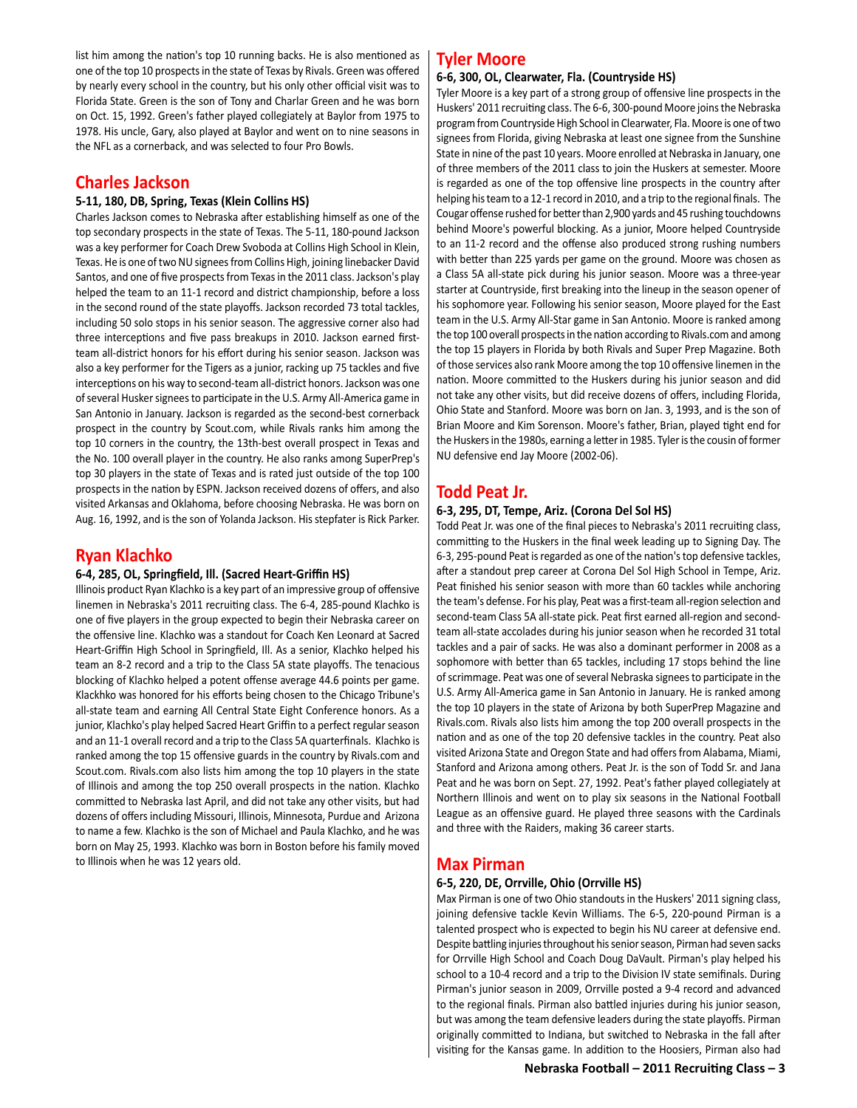list him among the nation's top 10 running backs. He is also mentioned as one of the top 10 prospects in the state of Texas by Rivals. Green was offered by nearly every school in the country, but his only other official visit was to Florida State. Green is the son of Tony and Charlar Green and he was born on Oct. 15, 1992. Green's father played collegiately at Baylor from 1975 to 1978. His uncle, Gary, also played at Baylor and went on to nine seasons in the NFL as a cornerback, and was selected to four Pro Bowls.

# **Charles Jackson**

## **5-11, 180, DB, Spring, Texas (Klein Collins HS)**

Charles Jackson comes to Nebraska after establishing himself as one of the top secondary prospects in the state of Texas. The 5-11, 180-pound Jackson was a key performer for Coach Drew Svoboda at Collins High School in Klein, Texas. He is one of two NU signees from Collins High, joining linebacker David Santos, and one of five prospects from Texas in the 2011 class. Jackson's play helped the team to an 11-1 record and district championship, before a loss in the second round of the state playoffs. Jackson recorded 73 total tackles, including 50 solo stops in his senior season. The aggressive corner also had three interceptions and five pass breakups in 2010. Jackson earned firstteam all-district honors for his effort during his senior season. Jackson was also a key performer for the Tigers as a junior, racking up 75 tackles and five interceptions on his way to second-team all-district honors. Jackson was one of several Husker signees to participate in the U.S. Army All-America game in San Antonio in January. Jackson is regarded as the second-best cornerback prospect in the country by Scout.com, while Rivals ranks him among the top 10 corners in the country, the 13th-best overall prospect in Texas and the No. 100 overall player in the country. He also ranks among SuperPrep's top 30 players in the state of Texas and is rated just outside of the top 100 prospects in the nation by ESPN. Jackson received dozens of offers, and also visited Arkansas and Oklahoma, before choosing Nebraska. He was born on Aug. 16, 1992, and is the son of Yolanda Jackson. His stepfater is Rick Parker.

# **Ryan Klachko**

## **6-4, 285, OL, Springfield, Ill. (Sacred Heart-Griffin HS)**

Illinois product Ryan Klachko is a key part of an impressive group of offensive linemen in Nebraska's 2011 recruiting class. The 6-4, 285-pound Klachko is one of five players in the group expected to begin their Nebraska career on the offensive line. Klachko was a standout for Coach Ken Leonard at Sacred Heart-Griffin High School in Springfield, Ill. As a senior, Klachko helped his team an 8-2 record and a trip to the Class 5A state playoffs. The tenacious blocking of Klachko helped a potent offense average 44.6 points per game. Klackhko was honored for his efforts being chosen to the Chicago Tribune's all-state team and earning All Central State Eight Conference honors. As a junior, Klachko's play helped Sacred Heart Griffin to a perfect regular season and an 11-1 overall record and a trip to the Class 5A quarterfinals. Klachko is ranked among the top 15 offensive guards in the country by Rivals.com and Scout.com. Rivals.com also lists him among the top 10 players in the state of Illinois and among the top 250 overall prospects in the nation. Klachko committed to Nebraska last April, and did not take any other visits, but had dozens of offers including Missouri, Illinois, Minnesota, Purdue and Arizona to name a few. Klachko is the son of Michael and Paula Klachko, and he was born on May 25, 1993. Klachko was born in Boston before his family moved to Illinois when he was 12 years old.

# **Tyler Moore**

#### **6-6, 300, OL, Clearwater, Fla. (Countryside HS)**

Tyler Moore is a key part of a strong group of offensive line prospects in the Huskers' 2011 recruiting class. The 6-6, 300-pound Moore joins the Nebraska program from Countryside High School in Clearwater, Fla. Moore is one of two signees from Florida, giving Nebraska at least one signee from the Sunshine State in nine of the past 10 years. Moore enrolled at Nebraska in January, one of three members of the 2011 class to join the Huskers at semester. Moore is regarded as one of the top offensive line prospects in the country after helping his team to a 12-1 record in 2010, and a trip to the regional finals. The Cougar offense rushed for better than 2,900 yards and 45 rushing touchdowns behind Moore's powerful blocking. As a junior, Moore helped Countryside to an 11-2 record and the offense also produced strong rushing numbers with better than 225 yards per game on the ground. Moore was chosen as a Class 5A all-state pick during his junior season. Moore was a three-year starter at Countryside, first breaking into the lineup in the season opener of his sophomore year. Following his senior season, Moore played for the East team in the U.S. Army All-Star game in San Antonio. Moore is ranked among the top 100 overall prospects in the nation according to Rivals.com and among the top 15 players in Florida by both Rivals and Super Prep Magazine. Both of those services also rank Moore among the top 10 offensive linemen in the nation. Moore committed to the Huskers during his junior season and did not take any other visits, but did receive dozens of offers, including Florida, Ohio State and Stanford. Moore was born on Jan. 3, 1993, and is the son of Brian Moore and Kim Sorenson. Moore's father, Brian, played tight end for the Huskers in the 1980s, earning a letter in 1985. Tyler is the cousin of former NU defensive end Jay Moore (2002-06).

# **Todd Peat Jr.**

## **6-3, 295, DT, Tempe, Ariz. (Corona Del Sol HS)**

Todd Peat Jr. was one of the final pieces to Nebraska's 2011 recruiting class, committing to the Huskers in the final week leading up to Signing Day. The 6-3, 295-pound Peat is regarded as one of the nation's top defensive tackles, after a standout prep career at Corona Del Sol High School in Tempe, Ariz. Peat finished his senior season with more than 60 tackles while anchoring the team's defense. For his play, Peat was a first-team all-region selection and second-team Class 5A all-state pick. Peat first earned all-region and secondteam all-state accolades during his junior season when he recorded 31 total tackles and a pair of sacks. He was also a dominant performer in 2008 as a sophomore with better than 65 tackles, including 17 stops behind the line of scrimmage. Peat was one of several Nebraska signees to participate in the U.S. Army All-America game in San Antonio in January. He is ranked among the top 10 players in the state of Arizona by both SuperPrep Magazine and Rivals.com. Rivals also lists him among the top 200 overall prospects in the nation and as one of the top 20 defensive tackles in the country. Peat also visited Arizona State and Oregon State and had offers from Alabama, Miami, Stanford and Arizona among others. Peat Jr. is the son of Todd Sr. and Jana Peat and he was born on Sept. 27, 1992. Peat's father played collegiately at Northern Illinois and went on to play six seasons in the National Football League as an offensive guard. He played three seasons with the Cardinals and three with the Raiders, making 36 career starts.

# **Max Pirman**

## **6-5, 220, DE, Orrville, Ohio (Orrville HS)**

Max Pirman is one of two Ohio standouts in the Huskers' 2011 signing class, joining defensive tackle Kevin Williams. The 6-5, 220-pound Pirman is a talented prospect who is expected to begin his NU career at defensive end. Despite battling injuries throughout his senior season, Pirman had seven sacks for Orrville High School and Coach Doug DaVault. Pirman's play helped his school to a 10-4 record and a trip to the Division IV state semifinals. During Pirman's junior season in 2009, Orrville posted a 9-4 record and advanced to the regional finals. Pirman also battled injuries during his junior season, but was among the team defensive leaders during the state playoffs. Pirman originally committed to Indiana, but switched to Nebraska in the fall after visiting for the Kansas game. In addition to the Hoosiers, Pirman also had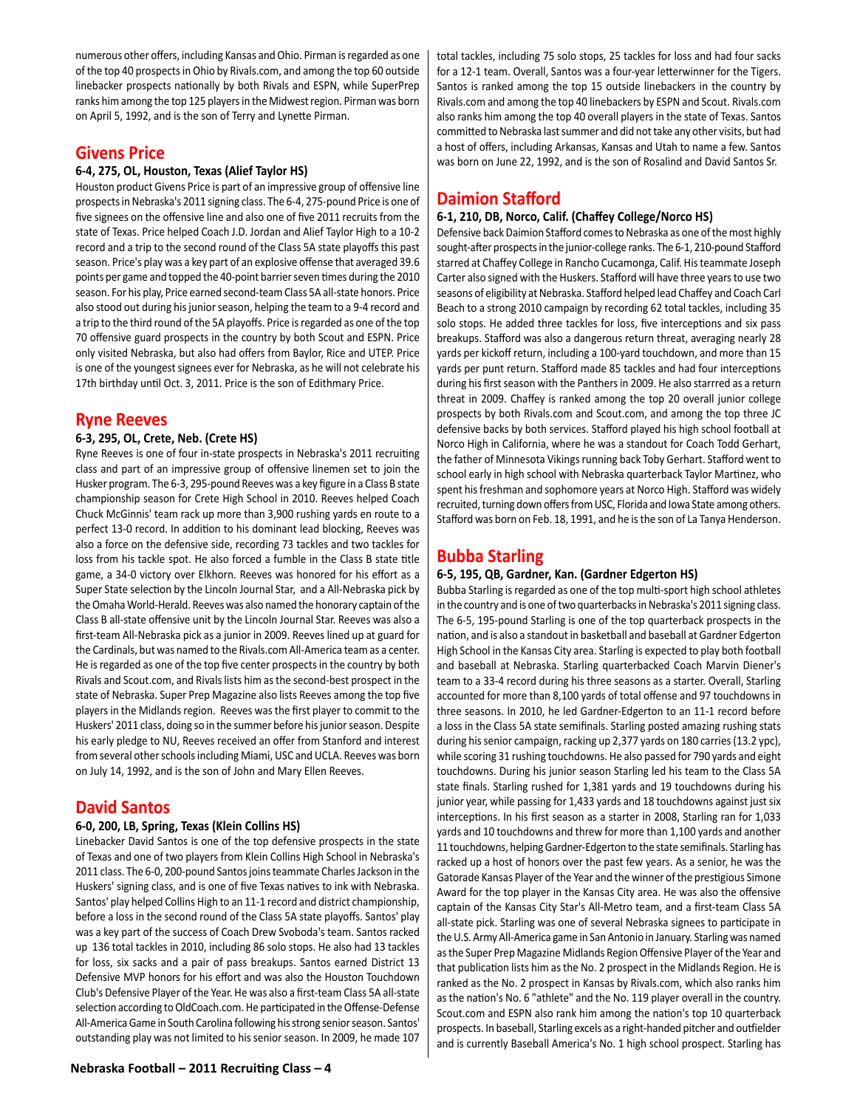numerous other offers, including Kansas and Ohio. Pirman is regarded as one of the top 40 prospects in Ohio by Rivals.com, and among the top 60 outside linebacker prospects nationally by both Rivals and ESPN, while SuperPrep ranks him among the top 125 players in the Midwest region. Pirman was born on April 5, 1992, and is the son of Terry and Lynette Pirman.

# **Givens Price**

# **6-4, 275, OL, Houston, Texas (Alief Taylor HS)**

Houston product Givens Price is part of an impressive group of offensive line prospects in Nebraska's 2011 signing class. The 6-4, 275-pound Price is one of five signees on the offensive line and also one of five 2011 recruits from the state of Texas. Price helped Coach J.D. Jordan and Alief Taylor High to a 10-2 record and a trip to the second round of the Class 5A state playoffs this past season. Price's play was a key part of an explosive offense that averaged 39.6 points per game and topped the 40-point barrier seven times during the 2010 season. For his play, Price earned second-team Class 5A all-state honors. Price also stood out during his junior season, helping the team to a 9-4 record and a trip to the third round of the 5A playoffs. Price is regarded as one of the top 70 offensive guard prospects in the country by both Scout and ESPN. Price only visited Nebraska, but also had offers from Baylor, Rice and UTEP. Price is one of the youngest signees ever for Nebraska, as he will not celebrate his 17th birthday until Oct. 3, 2011. Price is the son of Edithmary Price.

# **Ryne Reeves**

# **6-3, 295, OL, Crete, Neb. (Crete HS)**

Ryne Reeves is one of four in-state prospects in Nebraska's 2011 recruiting class and part of an impressive group of offensive linemen set to join the Husker program. The 6-3, 295-pound Reeves was a key figure in a Class B state championship season for Crete High School in 2010. Reeves helped Coach Chuck McGinnis' team rack up more than 3,900 rushing yards en route to a perfect 13-0 record. In addition to his dominant lead blocking, Reeves was also a force on the defensive side, recording 73 tackles and two tackles for loss from his tackle spot. He also forced a fumble in the Class B state title game, a 34-0 victory over Elkhorn. Reeves was honored for his effort as a Super State selection by the Lincoln Journal Star, and a All-Nebraska pick by the Omaha World-Herald. Reeves was also named the honorary captain of the Class B all-state offensive unit by the Lincoln Journal Star. Reeves was also a first-team All-Nebraska pick as a junior in 2009. Reeves lined up at guard for the Cardinals, but was named to the Rivals.com All-America team as a center. He is regarded as one of the top five center prospects in the country by both Rivals and Scout.com, and Rivals lists him as the second-best prospect in the state of Nebraska. Super Prep Magazine also lists Reeves among the top five players in the Midlands region. Reeves was the first player to commit to the Huskers' 2011 class, doing so in the summer before his junior season. Despite his early pledge to NU, Reeves received an offer from Stanford and interest from several other schools including Miami, USC and UCLA. Reeves was born on July 14, 1992, and is the son of John and Mary Ellen Reeves.

# **David Santos**

## **6-0, 200, LB, Spring, Texas (Klein Collins HS)**

Linebacker David Santos is one of the top defensive prospects in the state of Texas and one of two players from Klein Collins High School in Nebraska's 2011 class. The 6-0, 200-pound Santos joins teammate Charles Jackson in the Huskers' signing class, and is one of five Texas natives to ink with Nebraska. Santos' play helped Collins High to an 11-1 record and district championship, before a loss in the second round of the Class 5A state playoffs. Santos' play was a key part of the success of Coach Drew Svoboda's team. Santos racked up 136 total tackles in 2010, including 86 solo stops. He also had 13 tackles for loss, six sacks and a pair of pass breakups. Santos earned District 13 Defensive MVP honors for his effort and was also the Houston Touchdown Club's Defensive Player of the Year. He was also a first-team Class 5A all-state selection according to OldCoach.com. He participated in the Offense-Defense All-America Game in South Carolina following his strong senior season. Santos' outstanding play was not limited to his senior season. In 2009, he made 107

total tackles, including 75 solo stops, 25 tackles for loss and had four sacks for a 12-1 team. Overall, Santos was a four-year letterwinner for the Tigers. Santos is ranked among the top 15 outside linebackers in the country by Rivals.com and among the top 40 linebackers by ESPN and Scout. Rivals.com also ranks him among the top 40 overall players in the state of Texas. Santos committed to Nebraska last summer and did not take any other visits, but had a host of offers, including Arkansas, Kansas and Utah to name a few. Santos was born on June 22, 1992, and is the son of Rosalind and David Santos Sr.

# **Daimion Stafford**

# **6-1, 210, DB, Norco, Calif. (Chaffey College/Norco HS)**

Defensive back Daimion Stafford comes to Nebraska as one of the most highly sought-after prospects in the junior-college ranks. The 6-1, 210-pound Stafford starred at Chaffey College in Rancho Cucamonga, Calif. His teammate Joseph Carter also signed with the Huskers. Stafford will have three years to use two seasons of eligibility at Nebraska. Stafford helped lead Chaffey and Coach Carl Beach to a strong 2010 campaign by recording 62 total tackles, including 35 solo stops. He added three tackles for loss, five interceptions and six pass breakups. Stafford was also a dangerous return threat, averaging nearly 28 yards per kickoff return, including a 100-yard touchdown, and more than 15 yards per punt return. Stafford made 85 tackles and had four interceptions during his first season with the Panthers in 2009. He also starrred as a return threat in 2009. Chaffey is ranked among the top 20 overall junior college prospects by both Rivals.com and Scout.com, and among the top three JC defensive backs by both services. Stafford played his high school football at Norco High in California, where he was a standout for Coach Todd Gerhart, the father of Minnesota Vikings running back Toby Gerhart. Stafford went to school early in high school with Nebraska quarterback Taylor Martinez, who spent his freshman and sophomore years at Norco High. Stafford was widely recruited, turning down offers from USC, Florida and Iowa State among others. Stafford was born on Feb. 18, 1991, and he is the son of La Tanya Henderson.

# **Bubba Starling**

# **6-5, 195, QB, Gardner, Kan. (Gardner Edgerton HS)**

Bubba Starling is regarded as one of the top multi-sport high school athletes in the country and is one of two quarterbacks in Nebraska's 2011 signing class. The 6-5, 195-pound Starling is one of the top quarterback prospects in the nation, and is also a standout in basketball and baseball at Gardner Edgerton High School in the Kansas City area. Starling is expected to play both football and baseball at Nebraska. Starling quarterbacked Coach Marvin Diener's team to a 33-4 record during his three seasons as a starter. Overall, Starling accounted for more than 8,100 yards of total offense and 97 touchdowns in three seasons. In 2010, he led Gardner-Edgerton to an 11-1 record before a loss in the Class 5A state semifinals. Starling posted amazing rushing stats during his senior campaign, racking up 2,377 yards on 180 carries (13.2 ypc), while scoring 31 rushing touchdowns. He also passed for 790 yards and eight touchdowns. During his junior season Starling led his team to the Class 5A state finals. Starling rushed for 1,381 yards and 19 touchdowns during his junior year, while passing for 1,433 yards and 18 touchdowns against just six interceptions. In his first season as a starter in 2008, Starling ran for 1,033 yards and 10 touchdowns and threw for more than 1,100 yards and another 11 touchdowns, helping Gardner-Edgerton to the state semifinals. Starling has racked up a host of honors over the past few years. As a senior, he was the Gatorade Kansas Player of the Year and the winner of the prestigious Simone Award for the top player in the Kansas City area. He was also the offensive captain of the Kansas City Star's All-Metro team, and a first-team Class 5A all-state pick. Starling was one of several Nebraska signees to participate in the U.S. Army All-America game in San Antonio in January. Starling was named as the Super Prep Magazine Midlands Region Offensive Player of the Year and that publication lists him as the No. 2 prospect in the Midlands Region. He is ranked as the No. 2 prospect in Kansas by Rivals.com, which also ranks him as the nation's No. 6 "athlete" and the No. 119 player overall in the country. Scout.com and ESPN also rank him among the nation's top 10 quarterback prospects. In baseball, Starling excels as a right-handed pitcher and outfielder and is currently Baseball America's No. 1 high school prospect. Starling has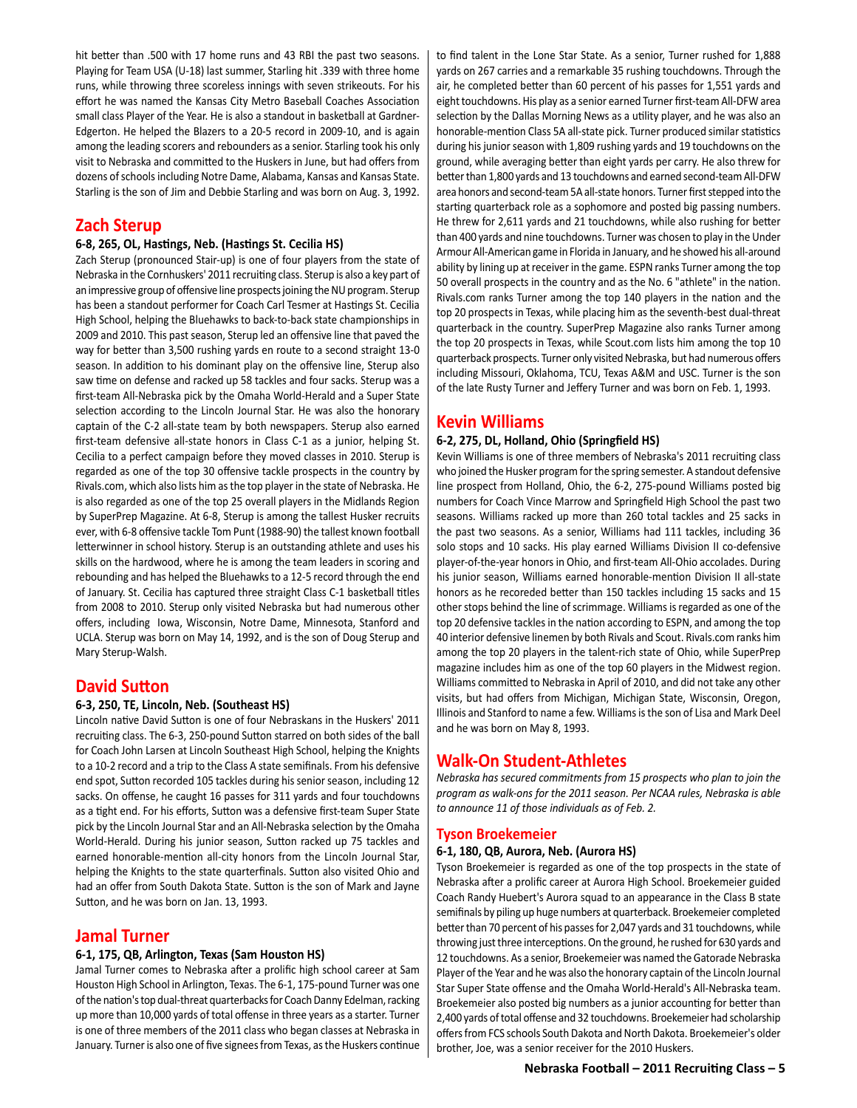hit better than .500 with 17 home runs and 43 RBI the past two seasons. Playing for Team USA (U-18) last summer, Starling hit .339 with three home runs, while throwing three scoreless innings with seven strikeouts. For his effort he was named the Kansas City Metro Baseball Coaches Association small class Player of the Year. He is also a standout in basketball at Gardner-Edgerton. He helped the Blazers to a 20-5 record in 2009-10, and is again among the leading scorers and rebounders as a senior. Starling took his only visit to Nebraska and committed to the Huskers in June, but had offers from dozens of schools including Notre Dame, Alabama, Kansas and Kansas State. Starling is the son of Jim and Debbie Starling and was born on Aug. 3, 1992.

# **Zach Sterup**

# **6-8, 265, OL, Hastings, Neb. (Hastings St. Cecilia HS)**

Zach Sterup (pronounced Stair-up) is one of four players from the state of Nebraska in the Cornhuskers' 2011 recruiting class. Sterup is also a key part of an impressive group of offensive line prospects joining the NU program. Sterup has been a standout performer for Coach Carl Tesmer at Hastings St. Cecilia High School, helping the Bluehawks to back-to-back state championships in 2009 and 2010. This past season, Sterup led an offensive line that paved the way for better than 3,500 rushing yards en route to a second straight 13-0 season. In addition to his dominant play on the offensive line, Sterup also saw time on defense and racked up 58 tackles and four sacks. Sterup was a first-team All-Nebraska pick by the Omaha World-Herald and a Super State selection according to the Lincoln Journal Star. He was also the honorary captain of the C-2 all-state team by both newspapers. Sterup also earned first-team defensive all-state honors in Class C-1 as a junior, helping St. Cecilia to a perfect campaign before they moved classes in 2010. Sterup is regarded as one of the top 30 offensive tackle prospects in the country by Rivals.com, which also lists him as the top player in the state of Nebraska. He is also regarded as one of the top 25 overall players in the Midlands Region by SuperPrep Magazine. At 6-8, Sterup is among the tallest Husker recruits ever, with 6-8 offensive tackle Tom Punt (1988-90) the tallest known football letterwinner in school history. Sterup is an outstanding athlete and uses his skills on the hardwood, where he is among the team leaders in scoring and rebounding and has helped the Bluehawks to a 12-5 record through the end of January. St. Cecilia has captured three straight Class C-1 basketball titles from 2008 to 2010. Sterup only visited Nebraska but had numerous other offers, including Iowa, Wisconsin, Notre Dame, Minnesota, Stanford and UCLA. Sterup was born on May 14, 1992, and is the son of Doug Sterup and Mary Sterup-Walsh.

# **David Sutton**

## **6-3, 250, TE, Lincoln, Neb. (Southeast HS)**

Lincoln native David Sutton is one of four Nebraskans in the Huskers' 2011 recruiting class. The 6-3, 250-pound Sutton starred on both sides of the ball for Coach John Larsen at Lincoln Southeast High School, helping the Knights to a 10-2 record and a trip to the Class A state semifinals. From his defensive end spot, Sutton recorded 105 tackles during his senior season, including 12 sacks. On offense, he caught 16 passes for 311 yards and four touchdowns as a tight end. For his efforts, Sutton was a defensive first-team Super State pick by the Lincoln Journal Star and an All-Nebraska selection by the Omaha World-Herald. During his junior season, Sutton racked up 75 tackles and earned honorable-mention all-city honors from the Lincoln Journal Star, helping the Knights to the state quarterfinals. Sutton also visited Ohio and had an offer from South Dakota State. Sutton is the son of Mark and Jayne Sutton, and he was born on Jan. 13, 1993.

# **Jamal Turner**

## **6-1, 175, QB, Arlington, Texas (Sam Houston HS)**

Jamal Turner comes to Nebraska after a prolific high school career at Sam Houston High School in Arlington, Texas. The 6-1, 175-pound Turner was one of the nation's top dual-threat quarterbacks for Coach Danny Edelman, racking up more than 10,000 yards of total offense in three years as a starter. Turner is one of three members of the 2011 class who began classes at Nebraska in January. Turner is also one of five signees from Texas, as the Huskers continue to find talent in the Lone Star State. As a senior, Turner rushed for 1,888 yards on 267 carries and a remarkable 35 rushing touchdowns. Through the air, he completed better than 60 percent of his passes for 1,551 yards and eight touchdowns. His play as a senior earned Turner first-team All-DFW area selection by the Dallas Morning News as a utility player, and he was also an honorable-mention Class 5A all-state pick. Turner produced similar statistics during his junior season with 1,809 rushing yards and 19 touchdowns on the ground, while averaging better than eight yards per carry. He also threw for better than 1,800 yards and 13 touchdowns and earned second-team All-DFW area honors and second-team 5A all-state honors. Turner first stepped into the starting quarterback role as a sophomore and posted big passing numbers. He threw for 2,611 yards and 21 touchdowns, while also rushing for better than 400 yards and nine touchdowns. Turner was chosen to play in the Under Armour All-American game in Florida in January, and he showed his all-around ability by lining up at receiver in the game. ESPN ranks Turner among the top 50 overall prospects in the country and as the No. 6 "athlete" in the nation. Rivals.com ranks Turner among the top 140 players in the nation and the top 20 prospects in Texas, while placing him as the seventh-best dual-threat quarterback in the country. SuperPrep Magazine also ranks Turner among the top 20 prospects in Texas, while Scout.com lists him among the top 10 quarterback prospects. Turner only visited Nebraska, but had numerous offers including Missouri, Oklahoma, TCU, Texas A&M and USC. Turner is the son of the late Rusty Turner and Jeffery Turner and was born on Feb. 1, 1993.

# **Kevin Williams**

# **6-2, 275, DL, Holland, Ohio (Springfield HS)**

Kevin Williams is one of three members of Nebraska's 2011 recruiting class who joined the Husker program for the spring semester. A standout defensive line prospect from Holland, Ohio, the 6-2, 275-pound Williams posted big numbers for Coach Vince Marrow and Springfield High School the past two seasons. Williams racked up more than 260 total tackles and 25 sacks in the past two seasons. As a senior, Williams had 111 tackles, including 36 solo stops and 10 sacks. His play earned Williams Division II co-defensive player-of-the-year honors in Ohio, and first-team All-Ohio accolades. During his junior season, Williams earned honorable-mention Division II all-state honors as he recoreded better than 150 tackles including 15 sacks and 15 other stops behind the line of scrimmage. Williams is regarded as one of the top 20 defensive tackles in the nation according to ESPN, and among the top 40 interior defensive linemen by both Rivals and Scout. Rivals.com ranks him among the top 20 players in the talent-rich state of Ohio, while SuperPrep magazine includes him as one of the top 60 players in the Midwest region. Williams committed to Nebraska in April of 2010, and did not take any other visits, but had offers from Michigan, Michigan State, Wisconsin, Oregon, Illinois and Stanford to name a few. Williams is the son of Lisa and Mark Deel and he was born on May 8, 1993.

# **Walk-On Student-Athletes**

*Nebraska has secured commitments from 15 prospects who plan to join the program as walk-ons for the 2011 season. Per NCAA rules, Nebraska is able to announce 11 of those individuals as of Feb. 2.* 

# **Tyson Broekemeier**

## **6-1, 180, QB, Aurora, Neb. (Aurora HS)**

Tyson Broekemeier is regarded as one of the top prospects in the state of Nebraska after a prolific career at Aurora High School. Broekemeier guided Coach Randy Huebert's Aurora squad to an appearance in the Class B state semifinals by piling up huge numbers at quarterback. Broekemeier completed better than 70 percent of his passes for 2,047 yards and 31 touchdowns, while throwing just three interceptions. On the ground, he rushed for 630 yards and 12 touchdowns. As a senior, Broekemeier was named the Gatorade Nebraska Player of the Year and he was also the honorary captain of the Lincoln Journal Star Super State offense and the Omaha World-Herald's All-Nebraska team. Broekemeier also posted big numbers as a junior accounting for better than 2,400 yards of total offense and 32 touchdowns. Broekemeier had scholarship offers from FCS schools South Dakota and North Dakota. Broekemeier's older brother, Joe, was a senior receiver for the 2010 Huskers.